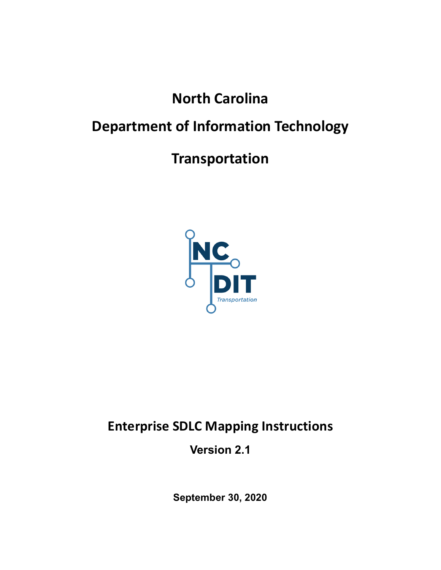# North Carolina

# Department of Information Technology

# Transportation



# Enterprise SDLC Mapping Instructions

Version 2.1

September 30, 2020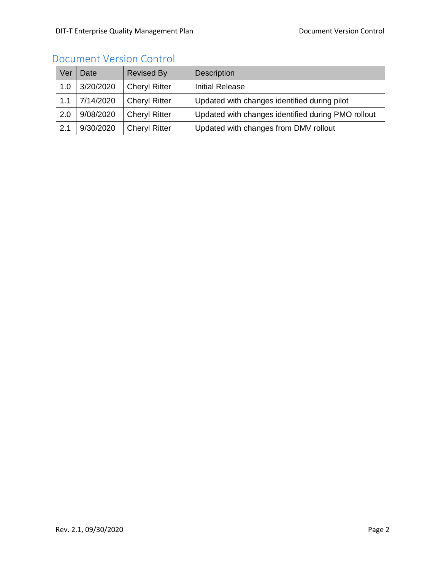### Document Version Control

| Ver | Date      | <b>Revised By</b>    | <b>Description</b>                                 |
|-----|-----------|----------------------|----------------------------------------------------|
| 1.0 | 3/20/2020 | <b>Cheryl Ritter</b> | <b>Initial Release</b>                             |
| 1.1 | 7/14/2020 | <b>Cheryl Ritter</b> | Updated with changes identified during pilot       |
| 2.0 | 9/08/2020 | <b>Cheryl Ritter</b> | Updated with changes identified during PMO rollout |
| 2.1 | 9/30/2020 | <b>Cheryl Ritter</b> | Updated with changes from DMV rollout              |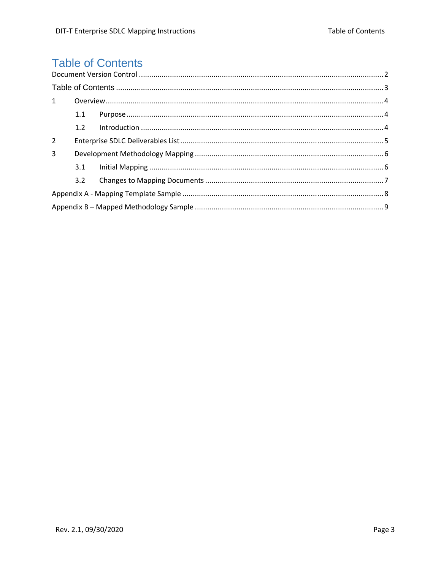## **Table of Contents**

| $\mathbf{1}$   |     |  |  |  |  |  |  |  |  |
|----------------|-----|--|--|--|--|--|--|--|--|
|                | 1.1 |  |  |  |  |  |  |  |  |
|                | 1.2 |  |  |  |  |  |  |  |  |
| $\overline{2}$ |     |  |  |  |  |  |  |  |  |
| 3              |     |  |  |  |  |  |  |  |  |
|                | 3.1 |  |  |  |  |  |  |  |  |
|                | 3.2 |  |  |  |  |  |  |  |  |
|                |     |  |  |  |  |  |  |  |  |
|                |     |  |  |  |  |  |  |  |  |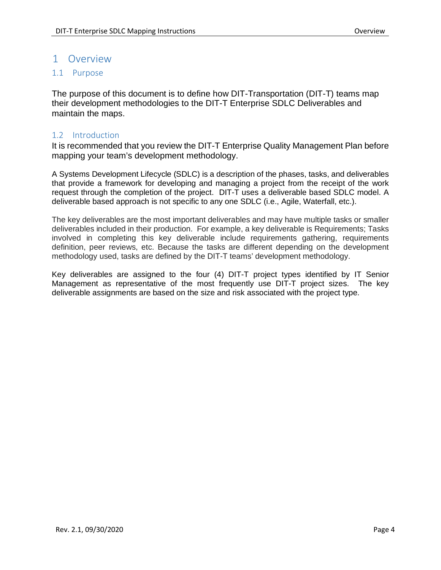#### 1 Overview

#### 1.1 Purpose

The purpose of this document is to define how DIT-Transportation (DIT-T) teams map their development methodologies to the DIT-T Enterprise SDLC Deliverables and maintain the maps.

#### 1.2 Introduction

It is recommended that you review the DIT-T Enterprise Quality Management Plan before mapping your team's development methodology.

A Systems Development Lifecycle (SDLC) is a description of the phases, tasks, and deliverables that provide a framework for developing and managing a project from the receipt of the work request through the completion of the project. DIT-T uses a deliverable based SDLC model. A deliverable based approach is not specific to any one SDLC (i.e., Agile, Waterfall, etc.).

The key deliverables are the most important deliverables and may have multiple tasks or smaller deliverables included in their production. For example, a key deliverable is Requirements; Tasks involved in completing this key deliverable include requirements gathering, requirements definition, peer reviews, etc. Because the tasks are different depending on the development methodology used, tasks are defined by the DIT-T teams' development methodology.

Key deliverables are assigned to the four (4) DIT-T project types identified by IT Senior Management as representative of the most frequently use DIT-T project sizes. The key deliverable assignments are based on the size and risk associated with the project type.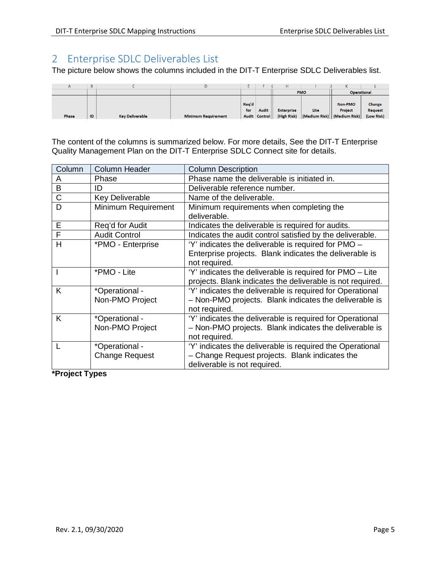### 2 Enterprise SDLC Deliverables List

The picture below shows the columns included in the DIT-T Enterprise SDLC Deliverables list.

|       | B  |                        |                            |              |                               |                                  |            | ĸ                                                            |                                        |
|-------|----|------------------------|----------------------------|--------------|-------------------------------|----------------------------------|------------|--------------------------------------------------------------|----------------------------------------|
|       |    |                        |                            |              |                               |                                  | <b>PMO</b> | <b>Operational</b>                                           |                                        |
| Phase | ID | <b>Key Deliverable</b> | <b>Minimum Requirement</b> | Rea'd<br>for | <b>Audit</b><br>Audit Control | <b>Enterprise</b><br>(High Risk) | Lite       | <b>Non-PMO</b><br>Project<br>  (Medium Risk)   (Medium Risk) | Change<br><b>Request</b><br>(Low Risk) |

The content of the columns is summarized below. For more details, See the DIT-T Enterprise Quality Management Plan on the DIT-T Enterprise SDLC Connect site for details.

| Column         | <b>Column Header</b>   | <b>Column Description</b>                                  |
|----------------|------------------------|------------------------------------------------------------|
| A              | Phase                  | Phase name the deliverable is initiated in.                |
| $\overline{B}$ | ID                     | Deliverable reference number.                              |
| $\mathsf C$    | <b>Key Deliverable</b> | Name of the deliverable.                                   |
| D              | Minimum Requirement    | Minimum requirements when completing the                   |
|                |                        | deliverable.                                               |
| E              | Reg'd for Audit        | Indicates the deliverable is required for audits.          |
| F              | <b>Audit Control</b>   | Indicates the audit control satisfied by the deliverable.  |
| H              | *PMO - Enterprise      | 'Y' indicates the deliverable is required for PMO -        |
|                |                        | Enterprise projects. Blank indicates the deliverable is    |
|                |                        | not required.                                              |
|                | *PMO - Lite            | 'Y' indicates the deliverable is required for PMO – Lite   |
|                |                        | projects. Blank indicates the deliverable is not required. |
| K              | *Operational -         | 'Y' indicates the deliverable is required for Operational  |
|                | Non-PMO Project        | - Non-PMO projects. Blank indicates the deliverable is     |
|                |                        | not required.                                              |
| K              | *Operational -         | 'Y' indicates the deliverable is required for Operational  |
|                | Non-PMO Project        | - Non-PMO projects. Blank indicates the deliverable is     |
|                |                        | not required.                                              |
|                | *Operational -         | 'Y' indicates the deliverable is required the Operational  |
|                | <b>Change Request</b>  | - Change Request projects. Blank indicates the             |
|                |                        | deliverable is not required.                               |

**\*Project Types**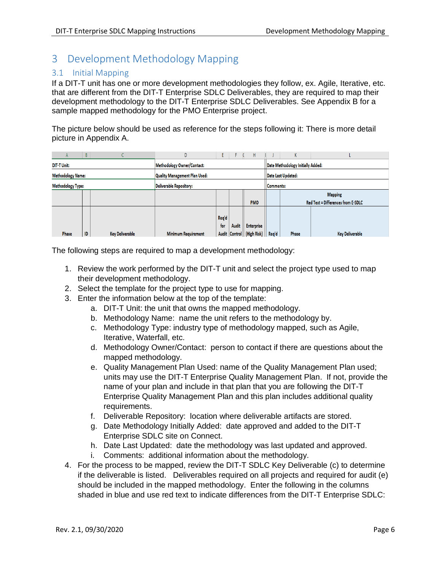### 3 Development Methodology Mapping

#### 3.1 Initial Mapping

If a DIT-T unit has one or more development methodologies they follow, ex. Agile, Iterative, etc. that are different from the DIT-T Enterprise SDLC Deliverables, they are required to map their development methodology to the DIT-T Enterprise SDLC Deliverables. See Appendix B for a sample mapped methodology for the PMO Enterprise project.

The picture below should be used as reference for the steps following it: There is more detail picture in Appendix A.

|                          | $\mathsf{A}$ | B  |                 | D                             |       |              | Н                                   |  | N                                  |                        |  |
|--------------------------|--------------|----|-----------------|-------------------------------|-------|--------------|-------------------------------------|--|------------------------------------|------------------------|--|
| <b>DIT-T Unit:</b>       |              |    |                 | Methodology Owner/Contact:    |       |              |                                     |  | Date Methodology Initially Added:  |                        |  |
| <b>Methodology Name:</b> |              |    |                 | Quality Management Plan Used: |       |              |                                     |  | Date Last Updated:                 |                        |  |
| <b>Methodology Type:</b> |              |    |                 | Deliverable Repository:       |       |              |                                     |  | Comments:                          |                        |  |
|                          |              |    |                 |                               |       |              |                                     |  |                                    | <b>Mapping</b>         |  |
|                          |              |    |                 | <b>PMO</b>                    |       |              |                                     |  | Red Text = Differences from E-SDLC |                        |  |
|                          |              |    |                 |                               |       |              |                                     |  |                                    |                        |  |
|                          |              |    |                 |                               | Req'd |              |                                     |  |                                    |                        |  |
|                          |              |    |                 |                               | for   | <b>Audit</b> | <b>Enterprise</b>                   |  |                                    |                        |  |
|                          | <b>Phase</b> | ID | Key Deliverable | <b>Minimum Requirement</b>    |       |              | Audit Control   (High Risk)   Req'd |  | Phase                              | <b>Key Deliverable</b> |  |

The following steps are required to map a development methodology:

- 1. Review the work performed by the DIT-T unit and select the project type used to map their development methodology.
- 2. Select the template for the project type to use for mapping.
- 3. Enter the information below at the top of the template:
	- a. DIT-T Unit: the unit that owns the mapped methodology.
	- b. Methodology Name: name the unit refers to the methodology by.
	- c. Methodology Type: industry type of methodology mapped, such as Agile, Iterative, Waterfall, etc.
	- d. Methodology Owner/Contact: person to contact if there are questions about the mapped methodology.
	- e. Quality Management Plan Used: name of the Quality Management Plan used; units may use the DIT-T Enterprise Quality Management Plan. If not, provide the name of your plan and include in that plan that you are following the DIT-T Enterprise Quality Management Plan and this plan includes additional quality requirements.
	- f. Deliverable Repository: location where deliverable artifacts are stored.
	- g. Date Methodology Initially Added: date approved and added to the DIT-T Enterprise SDLC site on Connect.
	- h. Date Last Updated: date the methodology was last updated and approved.
	- i. Comments: additional information about the methodology.
- 4. For the process to be mapped, review the DIT-T SDLC Key Deliverable (c) to determine if the deliverable is listed. Deliverables required on all projects and required for audit (e) should be included in the mapped methodology.Enter the following in the columns shaded in blue and use red text to indicate differences from the DIT-T Enterprise SDLC: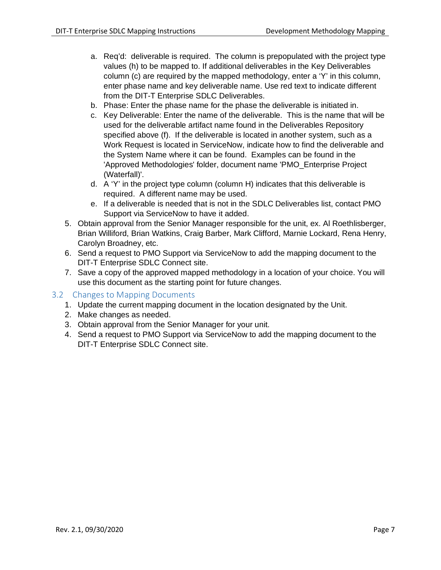- a. Req'd: deliverable is required. The column is prepopulated with the project type values (h) to be mapped to. If additional deliverables in the Key Deliverables column (c) are required by the mapped methodology, enter a 'Y' in this column, enter phase name and key deliverable name. Use red text to indicate different from the DIT-T Enterprise SDLC Deliverables.
- b. Phase: Enter the phase name for the phase the deliverable is initiated in.
- c. Key Deliverable: Enter the name of the deliverable. This is the name that will be used for the deliverable artifact name found in the Deliverables Repository specified above (f). If the deliverable is located in another system, such as a Work Request is located in ServiceNow, indicate how to find the deliverable and the System Name where it can be found. Examples can be found in the 'Approved Methodologies' folder, document name 'PMO\_Enterprise Project (Waterfall)'.
- d. A 'Y' in the project type column (column H) indicates that this deliverable is required. A different name may be used.
- e. If a deliverable is needed that is not in the SDLC Deliverables list, contact PMO Support via ServiceNow to have it added.
- 5. Obtain approval from the Senior Manager responsible for the unit, ex. Al Roethlisberger, Brian Williford, Brian Watkins, Craig Barber, Mark Clifford, Marnie Lockard, Rena Henry, Carolyn Broadney, etc.
- 6. Send a request to PMO Support via ServiceNow to add the mapping document to the DIT-T Enterprise SDLC Connect site.
- 7. Save a copy of the approved mapped methodology in a location of your choice. You will use this document as the starting point for future changes.

#### 3.2 Changes to Mapping Documents

- 1. Update the current mapping document in the location designated by the Unit.
- 2. Make changes as needed.
- 3. Obtain approval from the Senior Manager for your unit.
- 4. Send a request to PMO Support via ServiceNow to add the mapping document to the DIT-T Enterprise SDLC Connect site.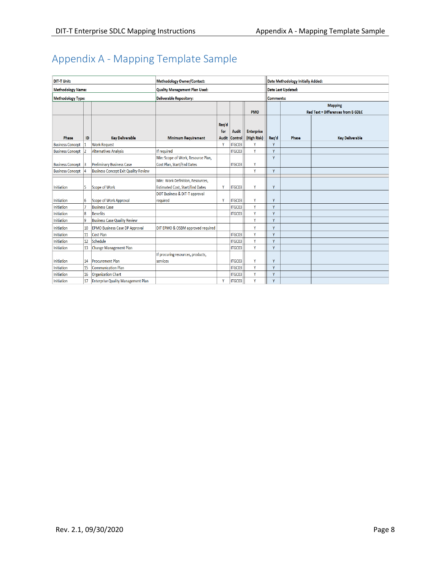## Appendix A - Mapping Template Sample

| <b>DIT-T Unit:</b>       |    |                                             | <b>Methodology Owner/Contact:</b>      |              |              |                   | Date Methodology Initially Added: |       |                                                      |  |
|--------------------------|----|---------------------------------------------|----------------------------------------|--------------|--------------|-------------------|-----------------------------------|-------|------------------------------------------------------|--|
| <b>Methodology Name:</b> |    |                                             | Quality Management Plan Used:          |              |              |                   | <b>Date Last Updated:</b>         |       |                                                      |  |
| <b>Methodology Type:</b> |    |                                             | <b>Deliverable Repository:</b>         |              |              |                   | Comments:                         |       |                                                      |  |
|                          |    |                                             |                                        |              |              | <b>PMO</b>        |                                   |       | <b>Mapping</b><br>Red Text = Differences from E-SDLC |  |
|                          |    |                                             |                                        | Req'd<br>for | <b>Audit</b> | <b>Enterprise</b> |                                   |       |                                                      |  |
| Phase                    | ID | <b>Kev Deliverable</b>                      | <b>Minimum Requirement</b>             | <b>Audit</b> | Control      | (High Risk)       | Req'd                             | Phase | <b>Key Deliverable</b>                               |  |
| <b>Business Concept</b>  |    | <b>Work Request</b>                         |                                        | <b>V</b>     | ITGC03       |                   | Y                                 |       |                                                      |  |
| <b>Business Concept</b>  |    | <b>Alternatives Analysis</b>                | If required                            |              | ITGC03       | Y                 | Y                                 |       |                                                      |  |
|                          |    |                                             | Min: Scope of Work, Resource Plan,     |              |              |                   | Y                                 |       |                                                      |  |
| Business Concept 3       |    | <b>Preliminary Business Case</b>            | Cost Plan, Start/End Dates             |              | ITGC03       | Y                 |                                   |       |                                                      |  |
| <b>Business Concept</b>  |    | <b>Business Concept Exit Quality Review</b> |                                        |              |              | Y                 | Y                                 |       |                                                      |  |
|                          |    |                                             | Min: Work Definition, Resources,       |              |              |                   |                                   |       |                                                      |  |
| Initiation               | 5  | Scope of Work                               | <b>Estimated Cost, Start/End Dates</b> | Y            | ITGC03       | Y                 | Y                                 |       |                                                      |  |
|                          |    |                                             | DOT Business & DIT-T approval          |              |              |                   |                                   |       |                                                      |  |
| <b>Initiation</b>        | 6  | Scope of Work Approval                      | required                               | Y            | ITGC03       | Y                 | Y                                 |       |                                                      |  |
| Initiation               |    | <b>Business Case</b>                        |                                        |              | ITGC03       | Y                 | Y                                 |       |                                                      |  |
| <b>Initiation</b>        | 8  | <b>Benefits</b>                             |                                        |              | ITGC03       | Y                 | Y                                 |       |                                                      |  |
| Initiation               | ١g | <b>Business Case Quality Review</b>         |                                        |              |              | Y                 | Y                                 |       |                                                      |  |
| <b>Initiation</b>        | 10 | <b>EPMO Business Case DP Approval</b>       | DIT EPMO & OSBM approved required      |              |              | Y                 | Y                                 |       |                                                      |  |
| <b>Initiation</b>        | 11 | Cost Plan                                   |                                        |              | ITGC03       | Y.                | Y                                 |       |                                                      |  |
| <b>Initiation</b>        | 12 | Schedule                                    |                                        |              | ITGC03       | Y                 | Y                                 |       |                                                      |  |
| <b>Initiation</b>        | 13 | Change Management Plan                      |                                        |              | ITGC03       | Ÿ                 | Y                                 |       |                                                      |  |
|                          |    |                                             | If procuring resources, products,      |              |              |                   |                                   |       |                                                      |  |
| <b>Initiation</b>        | 14 | <b>Procurement Plan</b>                     | services                               |              | ITGC03       | Y                 | Y                                 |       |                                                      |  |
| Initiation               | 15 | Communication Plan                          |                                        |              | ITGC03       | Y                 | Y                                 |       |                                                      |  |
| Initiation               | 16 | <b>Organization Chart</b>                   |                                        |              | ITGC03       | Ÿ                 | Y                                 |       |                                                      |  |
| Initiation               | 17 | <b>Enterprise Quality Management Plan</b>   |                                        | Y            | ITGC03       | Y                 | Y                                 |       |                                                      |  |